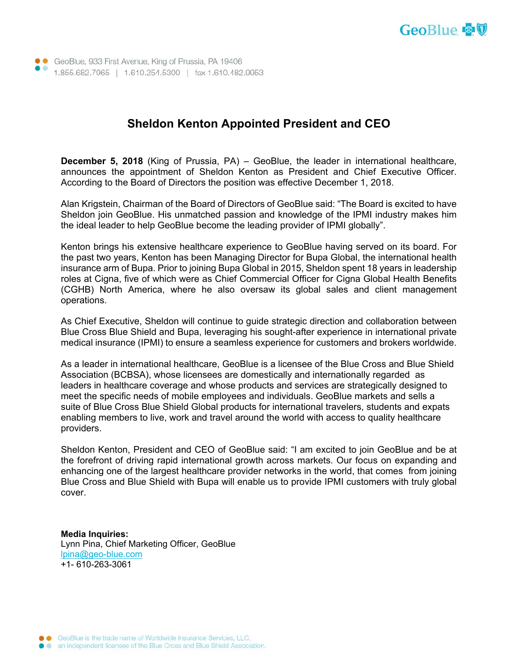

• GeoBlue, 933 First Avenue, King of Prussia, PA 19406 1.855.682.7965 | 1.610.254.5300 | fax 1.610.482.9953

## **Sheldon Kenton Appointed President and CEO**

**December 5, 2018** (King of Prussia, PA) – GeoBlue, the leader in international healthcare, announces the appointment of Sheldon Kenton as President and Chief Executive Officer. According to the Board of Directors the position was effective December 1, 2018.

Alan Krigstein, Chairman of the Board of Directors of GeoBlue said: "The Board is excited to have Sheldon join GeoBlue. His unmatched passion and knowledge of the IPMI industry makes him the ideal leader to help GeoBlue become the leading provider of IPMI globally".

Kenton brings his extensive healthcare experience to GeoBlue having served on its board. For the past two years, Kenton has been Managing Director for Bupa Global, the international health insurance arm of Bupa. Prior to joining Bupa Global in 2015, Sheldon spent 18 years in leadership roles at Cigna, five of which were as Chief Commercial Officer for Cigna Global Health Benefits (CGHB) North America, where he also oversaw its global sales and client management operations.

As Chief Executive, Sheldon will continue to guide strategic direction and collaboration between Blue Cross Blue Shield and Bupa, leveraging his sought-after experience in international private medical insurance (IPMI) to ensure a seamless experience for customers and brokers worldwide.

As a leader in international healthcare, GeoBlue is a licensee of the Blue Cross and Blue Shield Association (BCBSA), whose licensees are domestically and internationally regarded as leaders in healthcare coverage and whose products and services are strategically designed to meet the specific needs of mobile employees and individuals. GeoBlue markets and sells a suite of Blue Cross Blue Shield Global products for international travelers, students and expats enabling members to live, work and travel around the world with access to quality healthcare providers.

Sheldon Kenton, President and CEO of GeoBlue said: "I am excited to join GeoBlue and be at the forefront of driving rapid international growth across markets. Our focus on expanding and enhancing one of the largest healthcare provider networks in the world, that comes from joining Blue Cross and Blue Shield with Bupa will enable us to provide IPMI customers with truly global cover.

**Media Inquiries:**  Lynn Pina, Chief Marketing Officer, GeoBlue lpina@geo-blue.com +1- 610-263-3061